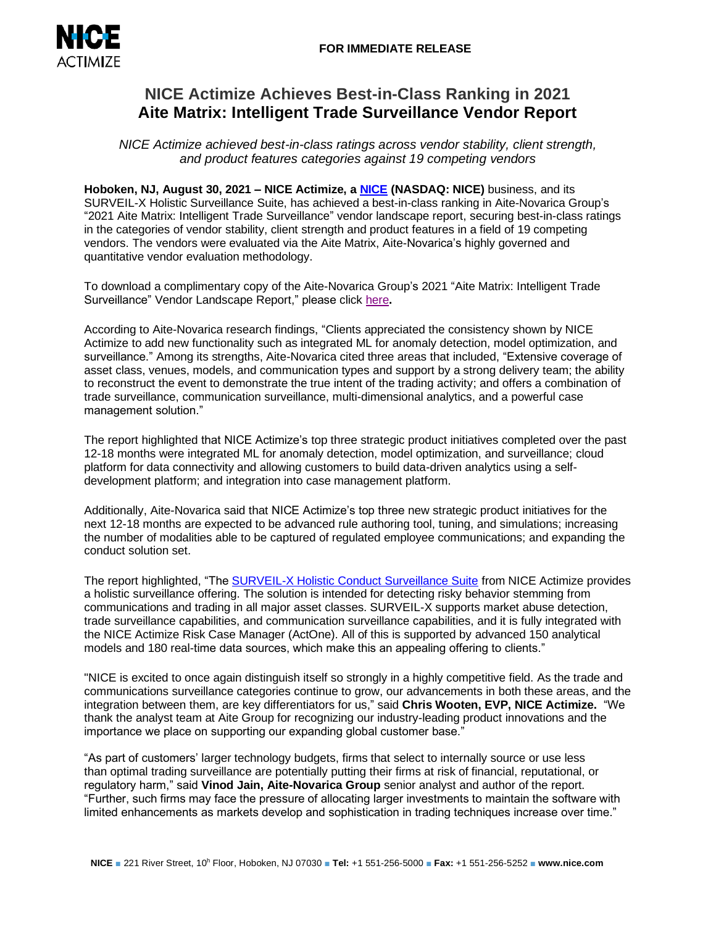

# **NICE Actimize Achieves Best-in-Class Ranking in 2021 Aite Matrix: Intelligent Trade Surveillance Vendor Report**

*NICE Actimize achieved best-in-class ratings across vendor stability, client strength, and product features categories against 19 competing vendors*

**Hoboken, NJ, August 30, 2021 – NICE Actimize, [a NICE](https://www.nice.com/?utm_source=web&utm_medium=pr) (NASDAQ: NICE)** business, and its SURVEIL-X Holistic Surveillance Suite, has achieved a best-in-class ranking in Aite-Novarica Group's "2021 Aite Matrix: Intelligent Trade Surveillance" vendor landscape report, securing best-in-class ratings in the categories of vendor stability, client strength and product features in a field of 19 competing vendors. The vendors were evaluated via the Aite Matrix, Aite-Novarica's highly governed and quantitative vendor evaluation methodology.

To download a complimentary copy of the Aite-Novarica Group's 2021 "Aite Matrix: Intelligent Trade Surveillance" Vendor Landscape Report," please click [here](https://actimize.nice.com/aite-matrix-intelligent-report?utm_source=NICEsocial)**.** 

According to Aite-Novarica research findings, "Clients appreciated the consistency shown by NICE Actimize to add new functionality such as integrated ML for anomaly detection, model optimization, and surveillance." Among its strengths, Aite-Novarica cited three areas that included, "Extensive coverage of asset class, venues, models, and communication types and support by a strong delivery team; the ability to reconstruct the event to demonstrate the true intent of the trading activity; and offers a combination of trade surveillance, communication surveillance, multi-dimensional analytics, and a powerful case management solution."

The report highlighted that NICE Actimize's top three strategic product initiatives completed over the past 12-18 months were integrated ML for anomaly detection, model optimization, and surveillance; cloud platform for data connectivity and allowing customers to build data-driven analytics using a selfdevelopment platform; and integration into case management platform.

Additionally, Aite-Novarica said that NICE Actimize's top three new strategic product initiatives for the next 12-18 months are expected to be advanced rule authoring tool, tuning, and simulations; increasing the number of modalities able to be captured of regulated employee communications; and expanding the conduct solution set.

The report highlighted, "The [SURVEIL-X Holistic Conduct Surveillance Suite](https://www.niceactimize.com/compliance/holistic-surveillance.html) from NICE Actimize provides a holistic surveillance offering. The solution is intended for detecting risky behavior stemming from communications and trading in all major asset classes. SURVEIL-X supports market abuse detection, trade surveillance capabilities, and communication surveillance capabilities, and it is fully integrated with the NICE Actimize Risk Case Manager (ActOne). All of this is supported by advanced 150 analytical models and 180 real-time data sources, which make this an appealing offering to clients."

"NICE is excited to once again distinguish itself so strongly in a highly competitive field. As the trade and communications surveillance categories continue to grow, our advancements in both these areas, and the integration between them, are key differentiators for us," said **Chris Wooten, EVP, NICE Actimize.** "We thank the analyst team at Aite Group for recognizing our industry-leading product innovations and the importance we place on supporting our expanding global customer base."

"As part of customers' larger technology budgets, firms that select to internally source or use less than optimal trading surveillance are potentially putting their firms at risk of financial, reputational, or regulatory harm," said **Vinod Jain, Aite-Novarica Group** senior analyst and author of the report. "Further, such firms may face the pressure of allocating larger investments to maintain the software with limited enhancements as markets develop and sophistication in trading techniques increase over time."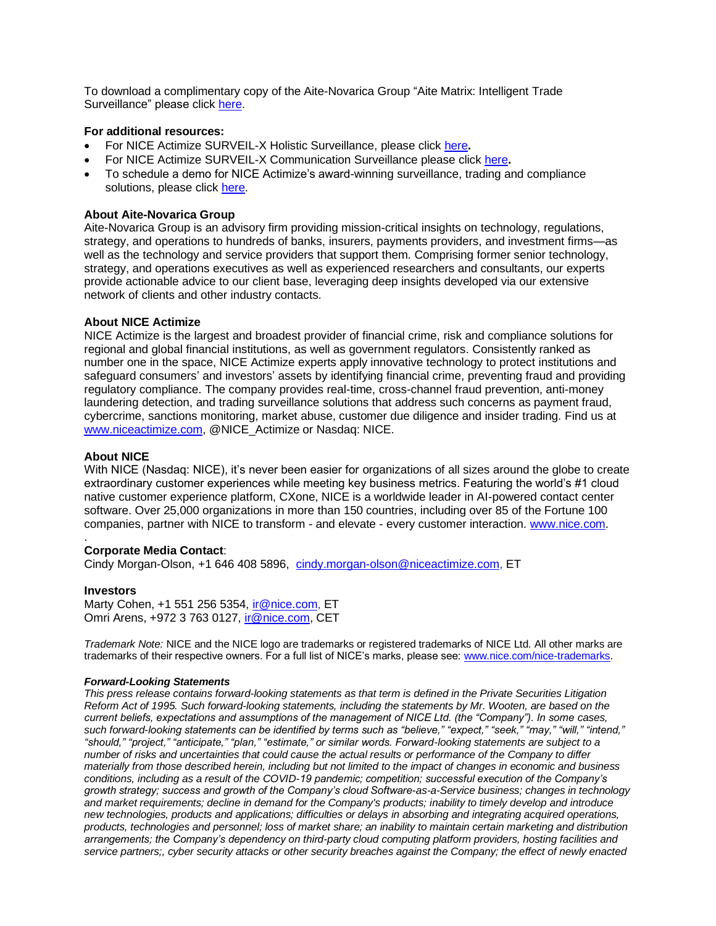To download a complimentary copy of the Aite-Novarica Group "Aite Matrix: Intelligent Trade Surveillance" please click [here.](https://actimize.nice.com/aite-matrix-intelligent-report?utm_source=NICEsocial)

# **For additional resources:**

- For NICE Actimize SURVEIL-X Holistic Surveillance, please click [here](https://www.niceactimize.com/compliance/holistic-surveillance.html)**.**
- For NICE Actimize SURVEIL-X Communication Surveillance please click [here](https://www.niceactimize.com/compliance/communications-surveillance.html)**.**
- To schedule a demo for NICE Actimize's award-winning surveillance, trading and compliance solutions, please click [here.](https://www.niceactimize.com/compliance/request-a-demo.html)

## **About Aite-Novarica Group**

Aite-Novarica Group is an advisory firm providing mission-critical insights on technology, regulations, strategy, and operations to hundreds of banks, insurers, payments providers, and investment firms—as well as the technology and service providers that support them. Comprising former senior technology, strategy, and operations executives as well as experienced researchers and consultants, our experts provide actionable advice to our client base, leveraging deep insights developed via our extensive network of clients and other industry contacts.

## **About NICE Actimize**

NICE Actimize is the largest and broadest provider of financial crime, risk and compliance solutions for regional and global financial institutions, as well as government regulators. Consistently ranked as number one in the space, NICE Actimize experts apply innovative technology to protect institutions and safeguard consumers' and investors' assets by identifying financial crime, preventing fraud and providing regulatory compliance. The company provides real-time, cross-channel fraud prevention, anti-money laundering detection, and trading surveillance solutions that address such concerns as payment fraud, cybercrime, sanctions monitoring, market abuse, customer due diligence and insider trading. Find us at [www.niceactimize.com,](http://www.niceactimize.com/) @NICE\_Actimize or Nasdaq: NICE.

## **About NICE**

With NICE (Nasdaq: NICE), it's never been easier for organizations of all sizes around the globe to create extraordinary customer experiences while meeting key business metrics. Featuring the world's #1 cloud native customer experience platform, CXone, NICE is a worldwide leader in AI-powered contact center software. Over 25,000 organizations in more than 150 countries, including over 85 of the Fortune 100 companies, partner with NICE to transform - and elevate - every customer interaction. [www.nice.com.](https://www.nice.com/?utm_source=web&utm_medium=pr)

# **Corporate Media Contact**:

Cindy Morgan-Olson, +1 646 408 5896, [cindy.morgan-olson@niceactimize.com,](mailto:cindy.morgan-olson@niceactimize.com) ET

#### **Investors**

.

Marty Cohen, +1 551 256 5354, [ir@nice.com,](mailto:ir@nice.com) ET Omri Arens, +972 3 763 0127, [ir@nice.com,](mailto:ir@nice.com) CET

*Trademark Note:* NICE and the NICE logo are trademarks or registered trademarks of NICE Ltd. All other marks are trademarks of their respective owners. For a full list of NICE's marks, please see: [www.nice.com/nice-trademarks.](http://www.nice.com/nice-trademarks)

#### *Forward-Looking Statements*

*This press release contains forward-looking statements as that term is defined in the Private Securities Litigation Reform Act of 1995. Such forward-looking statements, including the statements by Mr. Wooten, are based on the current beliefs, expectations and assumptions of the management of NICE Ltd. (the "Company"). In some cases, such forward-looking statements can be identified by terms such as "believe," "expect," "seek," "may," "will," "intend," "should," "project," "anticipate," "plan," "estimate," or similar words. Forward-looking statements are subject to a number of risks and uncertainties that could cause the actual results or performance of the Company to differ materially from those described herein, including but not limited to the impact of changes in economic and business conditions, including as a result of the COVID-19 pandemic; competition; successful execution of the Company's growth strategy; success and growth of the Company's cloud Software-as-a-Service business; changes in technology and market requirements; decline in demand for the Company's products; inability to timely develop and introduce new technologies, products and applications; difficulties or delays in absorbing and integrating acquired operations, products, technologies and personnel; loss of market share; an inability to maintain certain marketing and distribution arrangements; the Company's dependency on third-party cloud computing platform providers, hosting facilities and service partners;, cyber security attacks or other security breaches against the Company; the effect of newly enacted*